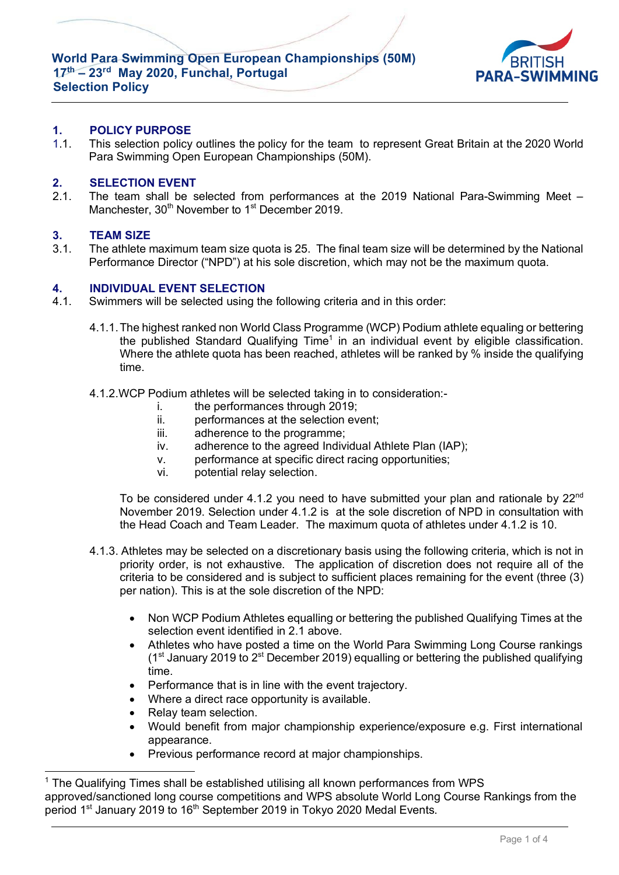**World Para Swimming Open European Championships (50M) 17th – 23rd May 2020, Funchal, Portugal Selection Policy**



# **1. POLICY PURPOSE**

1.1. This selection policy outlines the policy for the team to represent Great Britain at the 2020 World Para Swimming Open European Championships (50M).

#### **2. SELECTION EVENT**

2.1. The team shall be selected from performances at the 2019 National Para-Swimming Meet – Manchester, 30<sup>th</sup> November to 1<sup>st</sup> December 2019.

## **3. TEAM SIZE**

3.1. The athlete maximum team size quota is 25. The final team size will be determined by the National Performance Director ("NPD") at his sole discretion, which may not be the maximum quota.

#### **4. INDIVIDUAL EVENT SELECTION**

- 4.1. Swimmers will be selected using the following criteria and in this order:
	- 4.1.1.The highest ranked non World Class Programme (WCP) Podium athlete equaling or bettering the published Standard Qualifying Time<sup>1</sup> in an individual event by eligible classification. Where the athlete quota has been reached, athletes will be ranked by % inside the qualifying time.
	- 4.1.2.WCP Podium athletes will be selected taking in to consideration:
		- i. the performances through 2019;
		- ii. performances at the selection event;
		- iii. adherence to the programme;
		- iv. adherence to the agreed Individual Athlete Plan (IAP);
		- v. performance at specific direct racing opportunities;
		- vi. potential relay selection.

To be considered under 4.1.2 you need to have submitted your plan and rationale by  $22^{nd}$ November 2019. Selection under 4.1.2 is at the sole discretion of NPD in consultation with the Head Coach and Team Leader. The maximum quota of athletes under 4.1.2 is 10.

- 4.1.3. Athletes may be selected on a discretionary basis using the following criteria, which is not in priority order, is not exhaustive. The application of discretion does not require all of the criteria to be considered and is subject to sufficient places remaining for the event (three (3) per nation). This is at the sole discretion of the NPD:
	- Non WCP Podium Athletes equalling or bettering the published Qualifying Times at the selection event identified in 2.1 above.
	- Athletes who have posted a time on the World Para Swimming Long Course rankings  $(1<sup>st</sup>$  January 2019 to  $2<sup>st</sup>$  December 2019) equalling or bettering the published qualifying time.
	- Performance that is in line with the event trajectory.
	- Where a direct race opportunity is available.
	- Relay team selection.

l

- Would benefit from major championship experience/exposure e.g. First international appearance.
- Previous performance record at major championships.

<sup>&</sup>lt;sup>1</sup> The Qualifying Times shall be established utilising all known performances from WPS approved/sanctioned long course competitions and WPS absolute World Long Course Rankings from the period 1<sup>st</sup> January 2019 to 16<sup>th</sup> September 2019 in Tokyo 2020 Medal Events.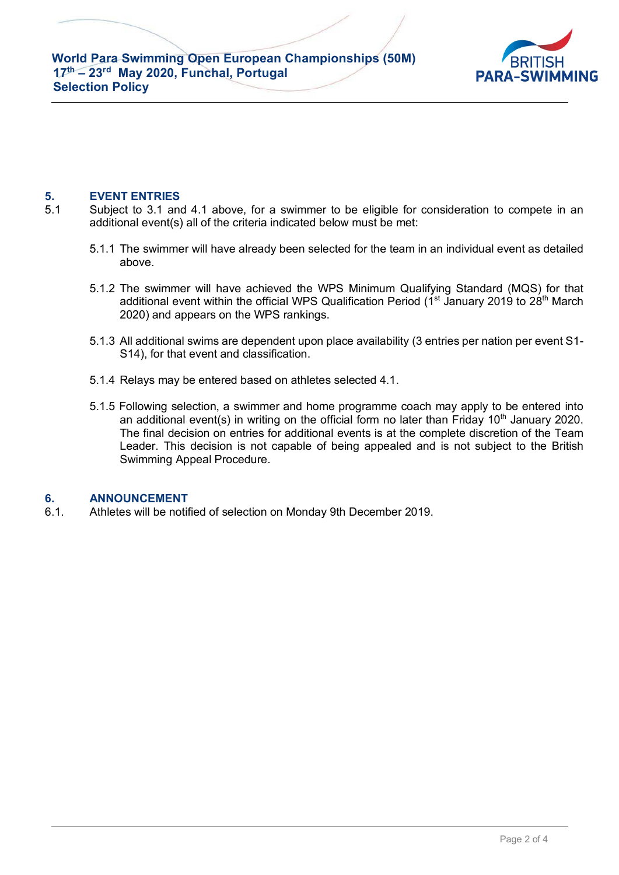

# **5. EVENT ENTRIES**

- 5.1 Subject to 3.1 and 4.1 above, for a swimmer to be eligible for consideration to compete in an additional event(s) all of the criteria indicated below must be met:
	- 5.1.1 The swimmer will have already been selected for the team in an individual event as detailed above.
	- 5.1.2 The swimmer will have achieved the WPS Minimum Qualifying Standard (MQS) for that additional event within the official WPS Qualification Period  $(1<sup>st</sup>$  January 2019 to 28<sup>th</sup> March 2020) and appears on the WPS rankings.
	- 5.1.3 All additional swims are dependent upon place availability (3 entries per nation per event S1- S14), for that event and classification.
	- 5.1.4 Relays may be entered based on athletes selected 4.1.
	- 5.1.5 Following selection, a swimmer and home programme coach may apply to be entered into an additional event(s) in writing on the official form no later than Friday  $10<sup>th</sup>$  January 2020. The final decision on entries for additional events is at the complete discretion of the Team Leader. This decision is not capable of being appealed and is not subject to the British Swimming Appeal Procedure.

## **6. ANNOUNCEMENT**

6.1. Athletes will be notified of selection on Monday 9th December 2019.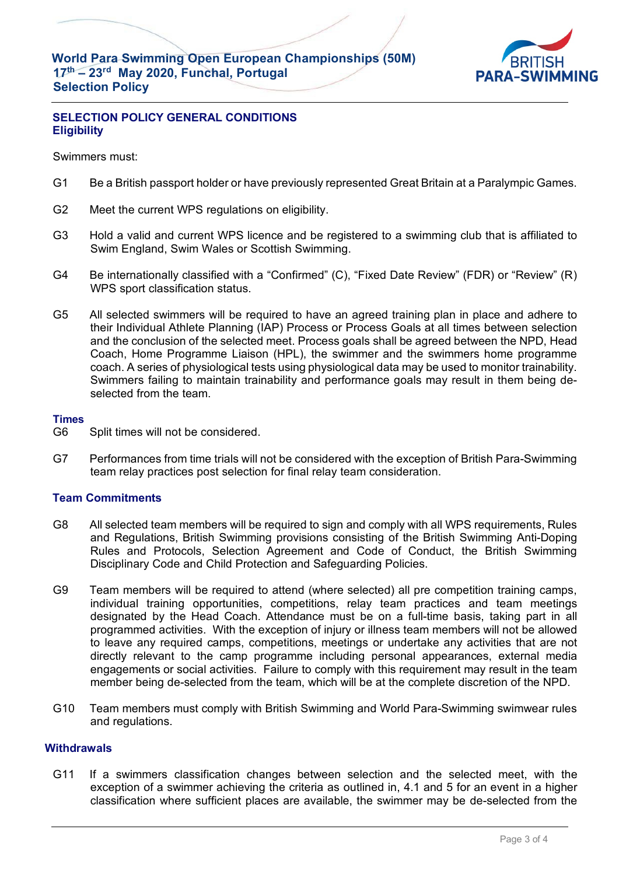**World Para Swimming Open European Championships (50M) 17th – 23rd May 2020, Funchal, Portugal Selection Policy**



# **SELECTION POLICY GENERAL CONDITIONS Eligibility**

Swimmers must:

- G1 Be a British passport holder or have previously represented Great Britain at a Paralympic Games.
- G2 Meet the current WPS regulations on eligibility.
- G3 Hold a valid and current WPS licence and be registered to a swimming club that is affiliated to Swim England, Swim Wales or Scottish Swimming.
- G4 Be internationally classified with a "Confirmed" (C), "Fixed Date Review" (FDR) or "Review" (R) WPS sport classification status.
- G5 All selected swimmers will be required to have an agreed training plan in place and adhere to their Individual Athlete Planning (IAP) Process or Process Goals at all times between selection and the conclusion of the selected meet. Process goals shall be agreed between the NPD, Head Coach, Home Programme Liaison (HPL), the swimmer and the swimmers home programme coach. A series of physiological tests using physiological data may be used to monitor trainability. Swimmers failing to maintain trainability and performance goals may result in them being deselected from the team.

#### **Times**

- G6 Split times will not be considered.
- G7 Performances from time trials will not be considered with the exception of British Para-Swimming team relay practices post selection for final relay team consideration.

## **Team Commitments**

- G8 All selected team members will be required to sign and comply with all WPS requirements, Rules and Regulations, British Swimming provisions consisting of the British Swimming Anti-Doping Rules and Protocols, Selection Agreement and Code of Conduct, the British Swimming Disciplinary Code and Child Protection and Safeguarding Policies.
- G9 Team members will be required to attend (where selected) all pre competition training camps, individual training opportunities, competitions, relay team practices and team meetings designated by the Head Coach. Attendance must be on a full-time basis, taking part in all programmed activities. With the exception of injury or illness team members will not be allowed to leave any required camps, competitions, meetings or undertake any activities that are not directly relevant to the camp programme including personal appearances, external media engagements or social activities. Failure to comply with this requirement may result in the team member being de-selected from the team, which will be at the complete discretion of the NPD.
- G10 Team members must comply with British Swimming and World Para-Swimming swimwear rules and regulations.

## **Withdrawals**

G11 If a swimmers classification changes between selection and the selected meet, with the exception of a swimmer achieving the criteria as outlined in, 4.1 and 5 for an event in a higher classification where sufficient places are available, the swimmer may be de-selected from the